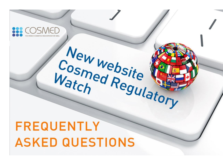# New website **FREQUENTLY ASKED QUESTIONS**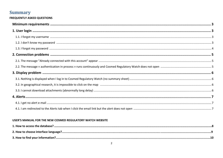# **Summary**

| <b>FREQUENTLY ASKED QUESTIONS</b> |  |
|-----------------------------------|--|
|                                   |  |
|                                   |  |
|                                   |  |
|                                   |  |
|                                   |  |
|                                   |  |
|                                   |  |
|                                   |  |
|                                   |  |
|                                   |  |
|                                   |  |
|                                   |  |
|                                   |  |
|                                   |  |
|                                   |  |

## USER'S MANUAL FOR THE NEW COSMED REGULATORY WATCH WEBSITE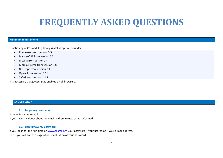# **FREQUENTLY ASKED QUESTIONS**

#### **Minimum requirements**

Functioning of Cosmed Regulatory Watch is optimized under:

- Konqueror from version 3.3
- Microsoft IE from version 5.5
- Mozilla from version 1.4
- Mozilla Firefox from version 0.8
- Netscape from version 7.1
- Opera from version 8.01
- Safari from version 1.2.1

It is necessary that javascript is enabled on all browsers.

#### **1/ USER LOGIN**

#### **1.1.I forgot my username**

Your login = your e-mail

If you have any doubt about the email address to use, contact Cosmed.

#### **1.2.I don't know my password**

If you log in for the first time o[n www.cosmed.fr,](http://www.cosmed.fr/) your password = your username = your e-mail address. Then, you will access a page of personalization of your password.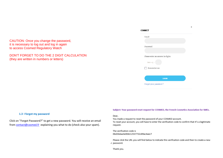#### CAUTION: Once you change the password, it is necessary to log out and log in again to access Cosmed Regulatory Watch

## DON'T FORGET TO DO THE 2 DIGIT CALCULATION (they are written in numbers or letters)

| <b>CONNECT</b>                    |              | × |
|-----------------------------------|--------------|---|
| Email                             |              |   |
|                                   |              |   |
| Password                          |              |   |
|                                   |              |   |
| Please enter an answer in digits: |              |   |
| two $\times$ $\mathcal{L}_F$ =    |              |   |
| Remember me                       |              |   |
|                                   |              |   |
|                                   | <b>LOGIN</b> |   |
| Forgot your password?             |              |   |
|                                   |              |   |

#### **1.3 I forgot my password**

Click on "Forgot Password?" to get a new password. You will receive an email from [contact@cosmed.fr](mailto:contact@cosmed.fr) explaining you what to do (check also your spam).

#### Subject: Your password reset request for COSMED, the French Cosmetics Association for SMEs.

#### Dear,

You made a request to reset the password of your COSMED account.

To reset your account, you will have to enter the verification code to confirm that it's a legitimate request.

The verification code is 0bd2bdaa3e00dc12537732c89ac4aec7

Please click the URL you will find below to indicate this verification code and then to create a new z password.

Thank you.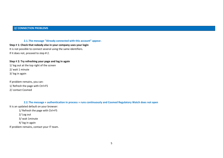#### **2.1.The message "Already connected with this account" appear.**

**Step** # **1: Check that nobody else in your company uses your login** It is not possible to connect several using the same identifiers.

If it does not, proceed to step # 2.

#### **Step** # **2: Try refreshing your page and log in again**

1/ log out at the top right of the screen 2/ wait 1 minute 3/ log in again

If problem remains, you can: 1/ Refresh the page with Ctrl+F5 2/ contact Cosmed

**2.2.The message « authentication in process » runs continuously and Cosmed Regulatory Watch does not open** It is an updated default on your browser: 1/ Refresh the page with Ctrl+F5 2/ Log out 3/ wait 1minute 4/ log in again If problem remains, contact your IT team.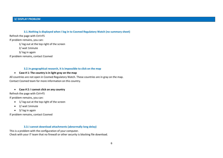#### **3/ DISPLAY PROBLEM**

#### **3.1.Nothing is displayed when I log in to Cosmed Regulatory Watch (no summary sheet)**

Refresh the page with Ctrl+F5

If problem remains, you can:

1/ log out at the top right of the screen

2/ wait 1minute

3/ log in again

If problem remains, contact Cosmed

#### **3.2.In geographical research, it is impossible to click on the map**

#### • **Case # 1: The country is in light gray on the map**

All countries are not open in Cosmed Regulatory Watch. These countries are in gray on the map. Contact Cosmed team for more information on this country.

#### • **Case # 2: I cannot click on any country**

Refresh the page with Ctrl+F5

If problem remains, you can:

- 1/ log out at the top right of the screen
- 2/ wait 1minute
- 3/ log in again

If problem remains, contact Cosmed

#### **3.3.I cannot download attachments (abnormally long delay)**

This is a problem with the configuration of your computer.

Check with your IT team that no firewall or other security is blocking file download.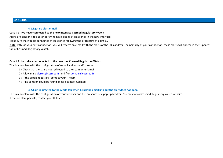#### **4/ ALERTS**

#### **4.1.I get no alert e-mail**

#### **Case # 1: I've never connected to the new interface Cosmed Regulatory Watch**

Alerts are sent only to subscribers who have logged at least once in the new interface.

Make sure that you be connected at least once following the procedure of point 1.2

Note: If this is your first connection, you will receive an e-mail with the alerts of the 30 last days. The next day of your connection, these alerts will appear in the "update" tab of Cosmed Regulatory Watch

#### **Case # 2: I am already connected to the new tool Cosmed Regulatory Watch**

This is a problem with the configuration of e-mail address and/or server.

- 1 / Check that alerts are not redirected to the spam or junk mail
- 2 / Allow mail: [alertes@cosmed.fr](mailto:alertes@cosmed.fr) and / o[r domain@cosmed.fr](file:///C:/Users/Catherine/AppData/Local/Microsoft/Windows/Temporary%20Internet%20Files/Content.Outlook/MIJX3C3T/domain@cosmed.fr)
- 3 / If the problem persists, contact your IT team.
- 4 / If no solution could be found, please contact Cosmed.

#### **4.2.I am redirected to the Alerts tab when I click the email link but the alert does not open.**

This is a problem with the configuration of your browser and the presence of a pop-up blocker. You must allow Cosmed Regulatory watch website. If the problem persists, contact your IT team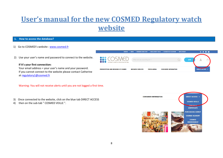# **User's manual for the new COSMED Regulatory watch website**

#### **1. How to access the database?**

- 1) Go to COSMED's website : [www.cosmed.fr](http://www.cosmed.fr/en)
- 2) Use your user's name and password to connect to the website.

#### **If it's your first connection:**

Your email address = your user's name and your password. If you cannot connect to the website please contact Catherine at [regulatory1@cosmed.fr](mailto:regulatory1@cosmed.fr)

Warning: You will not receive alerts until you are not logged a first time.

- 3) Once connected to the website, click on the blue tab DIRECT ACCESS
- 4) then on the sub-tab " COSMED VEILLE ".



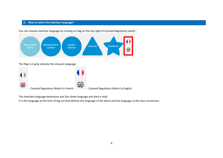#### **2. How to select the interface language?**

You can choose interface language by clicking on flag on the top right of Cosmed Regulatory watch :



The flag is in grey indicate the choosen language :

| ۵B | : Cosmed Regulatory Watch in French | : Cosmed Regulatory Watch in English |
|----|-------------------------------------|--------------------------------------|

The interface language determine also fact sheet language and alert e-mail.

It is the language at the time of log out that defines the language of the alerts and the language at the next connection.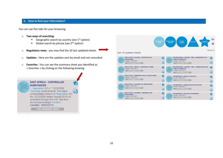#### **3. How to find your information?**

You can use five tabs for your browsing:

- o **Two ways of searching**:
	- **E** Geographic search by country (see  $1<sup>st</sup>$  option)
	- **E** Global search by phrase (see  $2^{nd}$  option)
- o **Regulatory news** : you may find the 10 last updated sheets
- o **Updates** : Here are the updates sent by email and not consulted
- o **Favorites** : You can see the summary sheet you identified as « favorites » by clicking on the following drawing



**GLOBAL**<br>SEARCH EGULATO<br>NEWS **GEOGRAPHICAL**<br>SEARCH Assistance last 10 updated sheets **EAST AFRICA - UGANDA - CERTIFICATE OF** INTERNATIONAL / EUROPE - IFRA : AMENDMENTS OF 裔 裔 "CODE OF PRACTICE" **CONFORMITY** Updated: 08/03/2016 Lindated: 08/03/2016  $\widehat{A}$  $\overline{\omega}$ > SEE SUMMARY SHEET > SEE SUMMARY SHEET **EAST AFRICA - KENYA - CONFORMITY MARK** 素 INTERNATIONAL / EUROPE - IFRA : AMENDEMENTS DU  $\bigstar$ Updated: 08/03/2016 **"CODE OF PRACTICE"** Undated: 08/03/2016 > SEE SUMMARY SHEET  $\widehat{A}$  $\overline{\mathbb{Q}}$ > SEE SUMMARY SHEET **EAST AFRICA - DEFINITION AND CLASSIFICATION** 右 **AFGHANISTAN - USEFUL CONTACTS** 右 Updated: 08/03/2016 Updated: 08/03/2016 > SEE SUMMARY SHEET > SEE SUMMARY SHEET l0  $\overline{0}$ **EAST AFRICA - CONTROLLED SUBSTANCES** 裔 AFGHANISTAN - REQUIREMENT FOR IMPORT 右 Updated: 08/03/2016 Updated: 08/03/2016 > SEE SUMMARY SHEET  $\widehat{\mathbb{D}}$ > SEE SUMMARY SHEET  $\overline{\omega}$ **EAST AFRICA - BURUNDI - CERTIFICATE OF** 齿 AFGHANISTAN - RELEVANT STANDARDS 裔 **CONFORMITY** Updated: 08/03/2016 Updated: 08/03/2016  $\widehat{A}$ > SEE SUMMARY SHEET > SEE SUMMARY SHEET  $\sqrt{a}$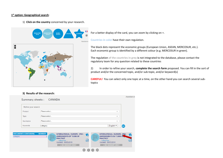#### **1 st option: Geographical search**:

1) **Click on the country** concerned by your research.



 $\frac{+}{-}$ 

For a better display of the card, you can zoom by clicking on +.

**Countries in color** have their own regulation.

The black dots represent the economic groups (European Union, ASEAN, MERCOSUR, etc.). Each economic group is identified by a different colour (e.g. MERCOSUR in green).

The regulation **of the countries in grey** is not integrated to the database, please contact the regulatory team for any question related to these countries

2) In order to refine your search, **complete the search form** proposed. You can fill in the sort of product and/or the concerned topic, and/or sub-topic, and/or keyword(s)

**CAREFUL!** You can select only one topic at a time, on the other hand you can search several subtopics

#### **3) Results of the research:**

| Refine your search         |                                                                                                                                                                                                                                                                                                                                                                                                                                                                                                                          |                                                                                                                                             |
|----------------------------|--------------------------------------------------------------------------------------------------------------------------------------------------------------------------------------------------------------------------------------------------------------------------------------------------------------------------------------------------------------------------------------------------------------------------------------------------------------------------------------------------------------------------|---------------------------------------------------------------------------------------------------------------------------------------------|
| Product                    | Please select                                                                                                                                                                                                                                                                                                                                                                                                                                                                                                            | v                                                                                                                                           |
| Topic                      | Please select                                                                                                                                                                                                                                                                                                                                                                                                                                                                                                            | v                                                                                                                                           |
| Sub-topics                 | Please select                                                                                                                                                                                                                                                                                                                                                                                                                                                                                                            | v                                                                                                                                           |
| Keywords                   | category                                                                                                                                                                                                                                                                                                                                                                                                                                                                                                                 | English ▼<br>OK                                                                                                                             |
| <b>OCUMENTS CONTAINING</b> | <b>NUMBER</b><br>INTERNATIONAL / EUROPE - IFRA :<br>危<br>Castledon .<br>Carlisler<br>as fate-determine<br>as fate-tylenetics<br><b>AMENDMENTS OF "CODE OF</b><br>derivate in Citizens<br>deaths and he Citizenship<br>comment is combined<br>comment is considium<br>at he smith state.<br>at he probab solder.<br><b>PRACTICE"</b><br><b>CENTER IN BURNING</b><br><b>CENTER IN IN HOTEL</b><br>arder.<br>ander.<br>վ∂]<br>Emminston<br><b>Bonne larkers</b><br>categories<br>Updated: 08/03/2016<br>> SEE SUMMARY SHEET | INTERNATIONAL / EUROPE - IFRA :<br>AMENDEMENTS DU "CODE ON<br><b>PRACTICE</b> "<br>catégories<br>Updated: 08/03/2016<br>> SEE SUMMARY SHEET |

Assistance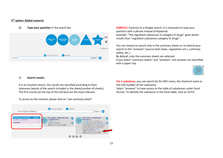#### **2 nd option: Global research**



2) **Search results** :

It is an intuitive search, the results are classified according to their relevance (words of the search included in the sheet/number of sheets). The first results (at the top of the red box) are the most relevant.

To access to the content, please click on "see summary sheet".

**1) Type your question** in the search bar **CAREFUL!** Contrary to a Google search, it is necessary to type your question with a phrase instead of keywords. Example: "The regulated substances in category IV drugs" gives better results than "regulated substances category IV drugs".

> You can choose to search only in the summary sheets or to extend your search to the "annexes" (source texts (laws, regulations etc.), summary tables, etc.).

By default, only the summary sheets are selected.

If you select "summary sheets" and "annexes", the annexes are identified with a paper clip.



**For a substance**, you can search by the INCI name, the chemical name or the CAS number of the substance.

Select "annexes" to have access to the table of substances under Excel format. To identify the substance in the Excel table, click on Ctrl+F.